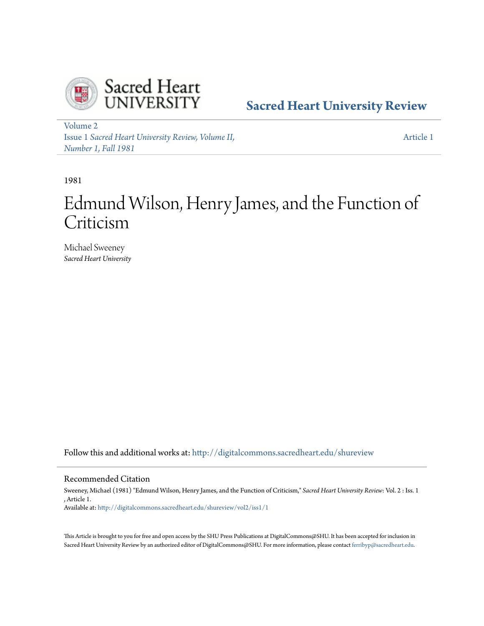

**[Sacred Heart University Review](http://digitalcommons.sacredheart.edu/shureview?utm_source=digitalcommons.sacredheart.edu%2Fshureview%2Fvol2%2Fiss1%2F1&utm_medium=PDF&utm_campaign=PDFCoverPages)**

[Volume 2](http://digitalcommons.sacredheart.edu/shureview/vol2?utm_source=digitalcommons.sacredheart.edu%2Fshureview%2Fvol2%2Fiss1%2F1&utm_medium=PDF&utm_campaign=PDFCoverPages) Issue 1 *[Sacred Heart University Review, Volume II,](http://digitalcommons.sacredheart.edu/shureview/vol2/iss1?utm_source=digitalcommons.sacredheart.edu%2Fshureview%2Fvol2%2Fiss1%2F1&utm_medium=PDF&utm_campaign=PDFCoverPages) [Number 1, Fall 1981](http://digitalcommons.sacredheart.edu/shureview/vol2/iss1?utm_source=digitalcommons.sacredheart.edu%2Fshureview%2Fvol2%2Fiss1%2F1&utm_medium=PDF&utm_campaign=PDFCoverPages)*

[Article 1](http://digitalcommons.sacredheart.edu/shureview/vol2/iss1/1?utm_source=digitalcommons.sacredheart.edu%2Fshureview%2Fvol2%2Fiss1%2F1&utm_medium=PDF&utm_campaign=PDFCoverPages)

1981

# Edmund Wilson, Henry James, and the Function of Criticism

Michael Sweeney *Sacred Heart University*

Follow this and additional works at: [http://digitalcommons.sacredheart.edu/shureview](http://digitalcommons.sacredheart.edu/shureview?utm_source=digitalcommons.sacredheart.edu%2Fshureview%2Fvol2%2Fiss1%2F1&utm_medium=PDF&utm_campaign=PDFCoverPages)

#### Recommended Citation

Sweeney, Michael (1981) "Edmund Wilson, Henry James, and the Function of Criticism," *Sacred Heart University Review*: Vol. 2 : Iss. 1 , Article 1. Available at: [http://digitalcommons.sacredheart.edu/shureview/vol2/iss1/1](http://digitalcommons.sacredheart.edu/shureview/vol2/iss1/1?utm_source=digitalcommons.sacredheart.edu%2Fshureview%2Fvol2%2Fiss1%2F1&utm_medium=PDF&utm_campaign=PDFCoverPages)

This Article is brought to you for free and open access by the SHU Press Publications at DigitalCommons@SHU. It has been accepted for inclusion in Sacred Heart University Review by an authorized editor of DigitalCommons@SHU. For more information, please contact [ferribyp@sacredheart.edu](mailto:ferribyp@sacredheart.edu).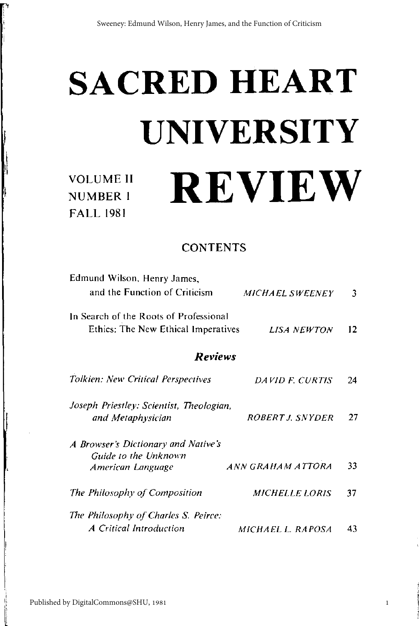# **SACRED HEART UNIVERSITY REVIEW VOLUME II** NUMBER 1 **FALL 1981**

## **CONTENTS**

| Edmund Wilson, Henry James,                                                   |                         |     |
|-------------------------------------------------------------------------------|-------------------------|-----|
| and the Function of Criticism                                                 | <b>MICHAEL SWEENEY</b>  | 3   |
| In Search of the Roots of Professional<br>Ethics: The New Ethical Imperatives | LISA NEWTON             | 12. |
| <b>Reviews</b>                                                                |                         |     |
| Tolkien: New Critical Perspectives                                            | DAVID F. CURTIS         | 24  |
| Joseph Priestley: Scientist, Theologian,                                      |                         |     |
| and Metaphysician                                                             | <i>ROBERT J. SNYDER</i> | 27  |
| A Browser's Dictionary and Native's<br>Guide to the Unknown                   |                         |     |
| American Language                                                             | ANN GRAHAM ATTORA       | 33  |
| The Philosophy of Composition                                                 | <b>MICHELLE LORIS</b>   | 37  |
| The Philosophy of Charles S. Peirce:                                          |                         |     |
| A Critical Introduction                                                       | MICHAEL L. RAPOSA       | 43  |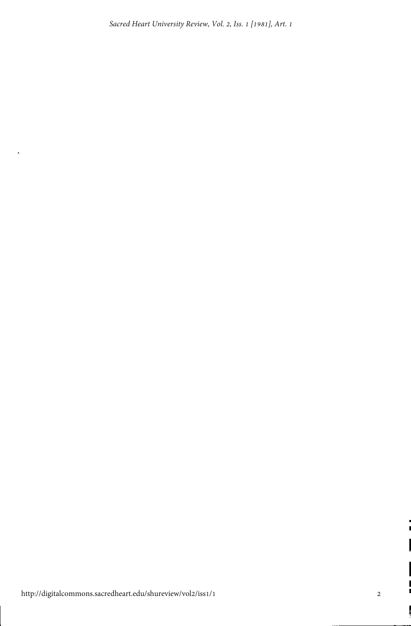*Sacred Heart University Review, Vol. 2, Iss. 1 [1981], Art. 1*

 $\cdot$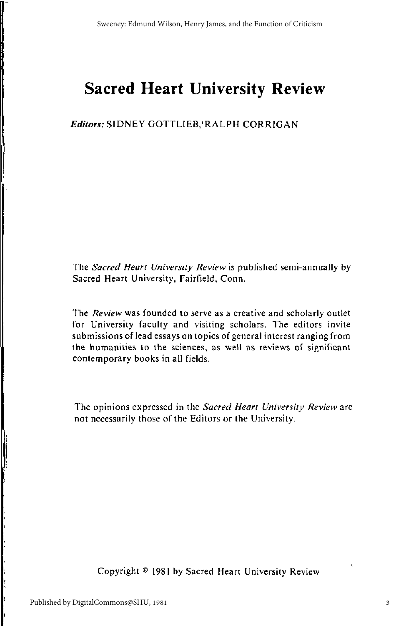## **Sacred Heart University Review**

### Editors: SIDNEY GOTTLIEB, RALPH CORRIGAN

The Sacred Heart University Review is published semi-annually by Sacred Heart University, Fairfield, Conn.

The Review was founded to serve as a creative and scholarly outlet for University faculty and visiting scholars. The editors invite submissions of lead essays on topics of general interest ranging from the humanities to the sciences, as well as reviews of significant contemporary books in all fields.

The opinions expressed in the Sacred Heart University Review are not necessarily those of the Editors or the University.

Copyright <sup>©</sup> 1981 by Sacred Heart University Review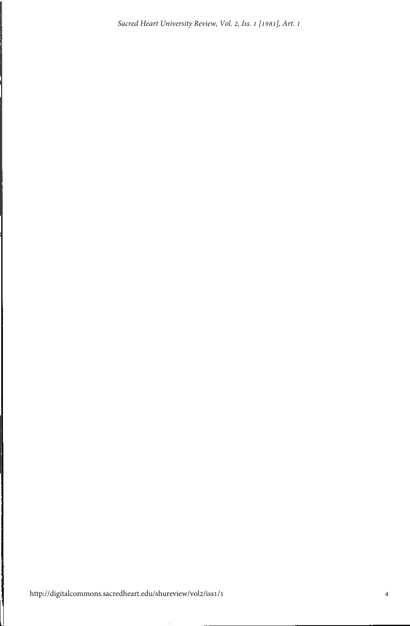*Sacred Heart University Review, Vol. 2, Iss. 1 [1981], Art. 1*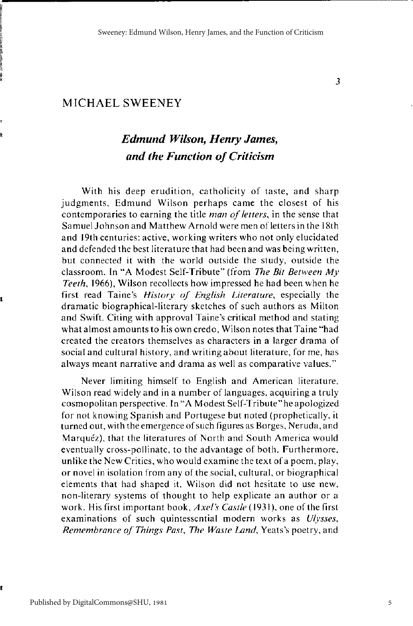### MICHAFI SWEENEY

## **Edmund Wilson, Henry James,** and the Function of Criticism

With his deep erudition, catholicity of taste, and sharp judgments. Edmund Wilson perhaps came the closest of his contemporaries to earning the title *man of letters*, in the sense that Samuel Johnson and Matthew Arnold were men of letters in the 18th and 19th centuries: active, working writers who not only elucidated and defended the best literature that had been and was being written, but connected it with the world outside the study, outside the classroom. In "A Modest Self-Tribute" (from The Bit Between My Teeth, 1966), Wilson recollects how impressed he had been when he first read Taine's History of English Literature, especially the dramatic biographical-literary sketches of such authors as Milton and Swift. Citing with approval Taine's critical method and stating what almost amounts to his own credo, Wilson notes that Taine "had created the creators themselves as characters in a larger drama of social and cultural history, and writing about literature, for me, has always meant narrative and drama as well as comparative values."

Never limiting himself to English and American literature. Wilson read widely and in a number of languages, acquiring a truly cosmopolitan perspective. In "A Modest Self-Tribute" he apologized for not knowing Spanish and Portugese but noted (prophetically, it turned out, with the emergence of such figures as Borges, Neruda, and Marquéz), that the literatures of North and South America would eventually cross-pollinate, to the advantage of both. Furthermore, unlike the New Critics, who would examine the text of a poem, play, or novel in isolation from any of the social, cultural, or biographical elements that had shaped it, Wilson did not hesitate to use new, non-literary systems of thought to help explicate an author or a work. His first important book, Axel's Castle (1931), one of the first examinations of such quintessential modern works as Ulysses, Remembrance of Things Past, The Waste Land, Yeats's poetry, and

Published by DigitalCommons@SHU, 1981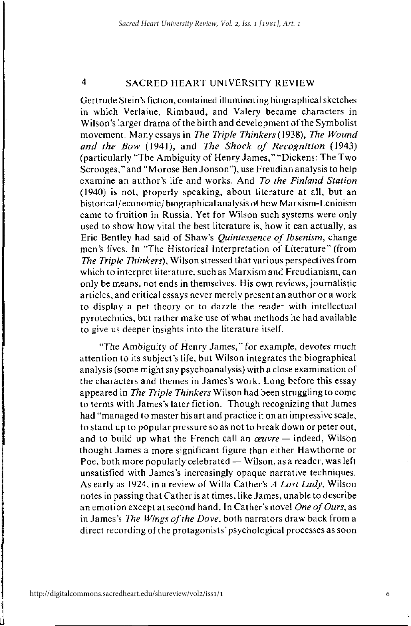#### $\overline{\mathbf{4}}$ **SACRED HEART UNIVERSITY REVIEW**

Gertrude Stein's fiction, contained illuminating biographical sketches in which Verlaine, Rimbaud, and Valery became characters in Wilson's larger drama of the birth and development of the Symbolist movement. Many essays in The Triple Thinkers (1938), The Wound and the Bow (1941), and The Shock of Recognition (1943) (particularly "The Ambiguity of Henry James," "Dickens: The Two Scrooges," and "Morose Ben Jonson"), use Freudian analysis to help examine an author's life and works. And To the Finland Station (1940) is not, properly speaking, about literature at all, but an historical/economic/biographical analysis of how Marxism-Leninism came to fruition in Russia. Yet for Wilson such systems were only used to show how vital the best literature is, how it can actually, as Eric Bentley had said of Shaw's Quintessence of Ibsenism, change men's lives. In "The Historical Interpretation of Literature" (from The Triple Thinkers), Wilson stressed that various perspectives from which to interpret literature, such as Marxism and Freudianism, can only be means, not ends in themselves. His own reviews, journalistic articles, and critical essays never merely present an author or a work to display a pet theory or to dazzle the reader with intellectual pyrotechnics, but rather make use of what methods he had available to give us deeper insights into the literature itself.

"The Ambiguity of Henry James," for example, devotes much attention to its subject's life, but Wilson integrates the biographical analysis (some might say psychoanalysis) with a close examination of the characters and themes in James's work. Long before this essay appeared in The Triple Thinkers Wilson had been struggling to come to terms with James's later fiction. Though recognizing that James had "managed to master his art and practice it on an impressive scale, to stand up to popular pressure so as not to break down or peter out, and to build up what the French call an œuvre - indeed, Wilson thought James a more significant figure than either Hawthorne or Poe, both more popularly celebrated — Wilson, as a reader, was left unsatisfied with James's increasingly opaque narrative techniques. As early as 1924, in a review of Willa Cather's A Lost Lady, Wilson notes in passing that Cather is at times, like James, unable to describe an emotion except at second hand. In Cather's novel One of Ours, as in James's The Wings of the Dove, both narrators draw back from a direct recording of the protagonists' psychological processes as soon

6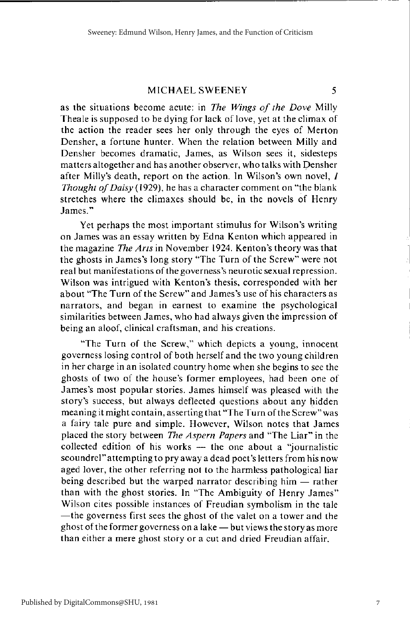as the situations become acute: in The Wings of the Dove Milly Theale is supposed to be dying for lack of love, yet at the climax of the action the reader sees her only through the eyes of Merton Densher, a fortune hunter. When the relation between Milly and Densher becomes dramatic. James, as Wilson sees it, sidesteps matters altogether and has another observer, who talks with Densher after Milly's death, report on the action. In Wilson's own novel, I Thought of Daisy (1929), he has a character comment on "the blank" stretches where the climaxes should be, in the novels of Henry James."

Yet perhaps the most important stimulus for Wilson's writing on James was an essay written by Edna Kenton which appeared in the magazine The Arts in November 1924. Kenton's theory was that the ghosts in James's long story "The Turn of the Screw" were not real but manifestations of the governess's neurotic sexual repression. Wilson was intrigued with Kenton's thesis, corresponded with her about "The Turn of the Screw" and James's use of his characters as narrators, and began in earnest to examine the psychological similarities between James, who had always given the impression of being an aloof, clinical craftsman, and his creations.

"The Turn of the Screw," which depicts a young, innocent governess losing control of both herself and the two young children in her charge in an isolated country home when she begins to see the ghosts of two of the house's former employees, had been one of James's most popular stories. James himself was pleased with the story's success, but always deflected questions about any hidden meaning it might contain, asserting that "The Turn of the Screw" was a fairy tale pure and simple. However, Wilson notes that James placed the story between The Aspern Papers and "The Liar" in the collected edition of his works  $-$  the one about a "journalistic scoundrel" attempting to pry away a dead poet's letters from his now aged lover, the other referring not to the harmless pathological liar being described but the warped narrator describing  $him - rather$ than with the ghost stories. In "The Ambiguity of Henry James" Wilson cites possible instances of Freudian symbolism in the tale —the governess first sees the ghost of the valet on a tower and the ghost of the former governess on a lake  $-$  but views the story as more than either a mere ghost story or a cut and dried Freudian affair.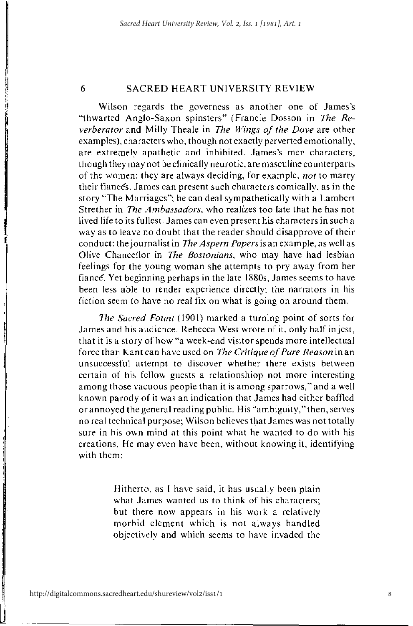#### 6

#### **SACRED HEART UNIVERSITY REVIEW**

Wilson regards the governess as another one of James's "thwarted Anglo-Saxon spinsters" (Francie Dosson in The Reverberator and Milly Theale in The Wings of the Dove are other examples), characters who, though not exactly perverted emotionally, are extremely apathetic and inhibited. James's men characters, though they may not be clinically neurotic, are masculine counterparts of the women; they are always deciding, for example, not to marry their fiances. James can present such characters comically, as in the story "The Marriages"; he can deal sympathetically with a Lambert Strether in *The Ambassadors*, who realizes too late that he has not lived life to its fullest. James can even present his characters in such a way as to leave no doubt that the reader should disapprove of their conduct: the journalist in The Aspern Papers is an example, as well as Olive Chancellor in The Bostonians, who may have had lesbian feelings for the young woman she attempts to pry away from her fiance. Yet beginning perhaps in the late 1880s, James seems to have been less able to render experience directly; the narrators in his fiction seem to have no real fix on what is going on around them.

*The Sacred Fount* (1901) marked a turning point of sorts for James and his audience. Rebecca West wrote of it, only half in jest, that it is a story of how "a week-end visitor spends more intellectual force than Kant can have used on The Critique of Pure Reason in an unsuccessful attempt to discover whether there exists between certain of his fellow guests a relationshiop not more interesting among those vacuous people than it is among sparrows," and a well known parody of it was an indication that James had either baffled or annoyed the general reading public. His "ambiguity," then, serves no real technical purpose; Wilson believes that James was not totally sure in his own mind at this point what he wanted to do with his creations. He may even have been, without knowing it, identifying with them:

> Hitherto, as I have said, it has usually been plain what James wanted us to think of his characters; but there now appears in his work a relatively morbid element which is not always handled objectively and which seems to have invaded the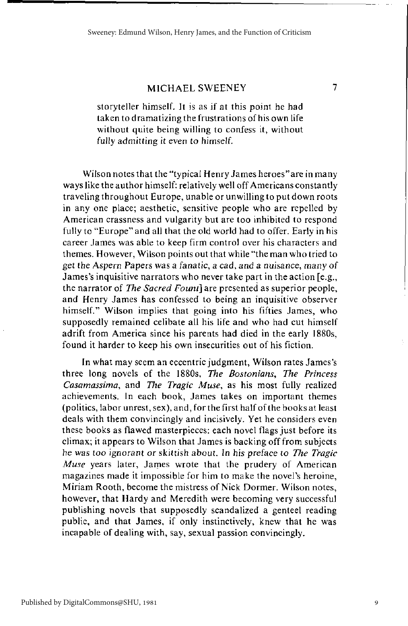storyteller himself. It is as if at this point he had taken to dramatizing the frustrations of his own life without quite being willing to confess it, without fully admitting it even to himself.

Wilson notes that the "typical Henry James heroes" are in many ways like the author himself: relatively well off Americans constantly traveling throughout Europe, unable or unwilling to put down roots in any one place; aesthetic, sensitive people who are repelled by American crassness and vulgarity but are too inhibited to respond fully to "Europe" and all that the old world had to offer. Early in his career James was able to keep firm control over his characters and themes. However, Wilson points out that while "the man who tried to get the Aspern Papers was a fanatic, a cad, and a nuisance, many of James's inquisitive narrators who never take part in the action [e.g., the narrator of *The Sacred Fount* are presented as superior people, and Henry James has confessed to being an inquisitive observer himself," Wilson implies that going into his fifties James, who supposedly remained celibate all his life and who had cut himself adrift from America since his parents had died in the early 1880s, found it harder to keep his own insecurities out of his fiction.

In what may seem an eccentric judgment, Wilson rates James's three long novels of the 1880s, The Bostonians, The Princess Casamassima, and The Tragic Muse, as his most fully realized achievements. In each book, James takes on important themes (politics, labor unrest, sex), and, for the first half of the books at least deals with them convincingly and incisively. Yet he considers even these books as flawed masterpieces; each novel flags just before its climax; it appears to Wilson that James is backing off from subjects he was too ignorant or skittish about. In his preface to The Tragic Muse years later, James wrote that the prudery of American magazines made it impossible for him to make the novel's heroine. Miriam Rooth, become the mistress of Nick Dormer. Wilson notes, however, that Hardy and Meredith were becoming very successful publishing novels that supposedly scandalized a genteel reading public, and that James, if only instinctively, knew that he was incapable of dealing with, say, sexual passion convincingly.

 $\overline{7}$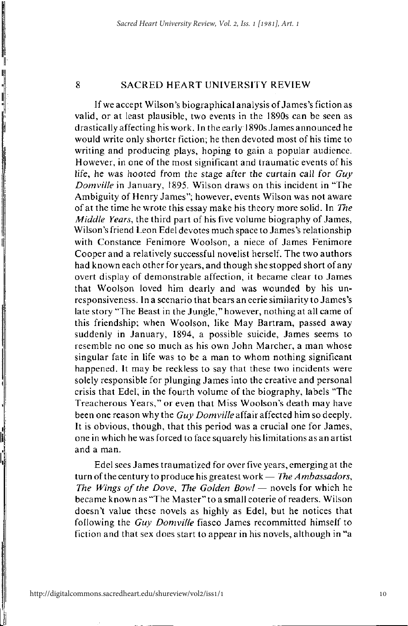8

#### **SACRED HEART UNIVERSITY REVIEW**

If we accept Wilson's biographical analysis of James's fiction as valid, or at least plausible, two events in the 1890s can be seen as drastically affecting his work. In the early 1890s James announced he would write only shorter fiction; he then devoted most of his time to writing and producing plays, hoping to gain a popular audience. However, in one of the most significant and traumatic events of his life, he was hooted from the stage after the curtain call for Guy Domville in January, 1895. Wilson draws on this incident in "The Ambiguity of Henry James"; however, events Wilson was not aware of at the time he wrote this essay make his theory more solid. In The *Middle Years*, the third part of his five volume biography of James, Wilson's friend Leon Edel devotes much space to James's relationship with Constance Fenimore Woolson, a niece of James Fenimore Cooper and a relatively successful novelist herself. The two authors had known each other for years, and though she stopped short of any overt display of demonstrable affection, it became clear to James that Woolson loved him dearly and was wounded by his unresponsiveness. In a scenario that bears an eerie similarity to James's late story "The Beast in the Jungle," however, nothing at all came of this friendship; when Woolson, like May Bartram, passed away suddenly in January, 1894, a possible suicide, James seems to resemble no one so much as his own John Marcher, a man whose singular fate in life was to be a man to whom nothing significant happened. It may be reckless to say that these two incidents were solely responsible for plunging James into the creative and personal crisis that Edel, in the fourth volume of the biography, labels "The Treacherous Years," or even that Miss Woolson's death may have been one reason why the Guy Domville affair affected him so deeply. It is obvious, though, that this period was a crucial one for James, one in which he was forced to face squarely his limitations as an artist and a man.

Edel sees James traumatized for over five years, emerging at the turn of the century to produce his greatest work  $-$  The Ambassadors, The Wings of the Dove, The Golden Bowl — novels for which he became known as "The Master" to a small coterie of readers. Wilson doesn't value these novels as highly as Edel, but he notices that following the Guy Domville fiasco James recommitted himself to fiction and that sex does start to appear in his novels, although in "a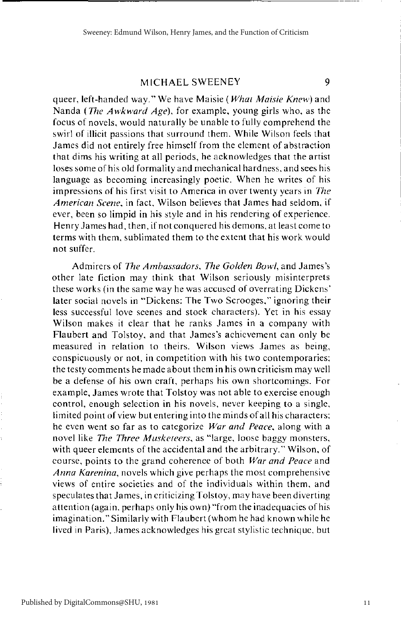queer, left-handed way." We have Maisie (What Maisie Knew) and Nanda (The Awkward Age), for example, young girls who, as the focus of novels, would naturally be unable to fully comprehend the swirl of illicit passions that surround them. While Wilson feels that James did not entirely free himself from the element of abstraction that dims his writing at all periods, he acknowledges that the artist loses some of his old formality and mechanical hardness, and sees his language as becoming increasingly poetic. When he writes of his impressions of his first visit to America in over twenty years in The American Scene, in fact, Wilson believes that James had seldom, if ever, been so limpid in his style and in his rendering of experience. Henry James had, then, if not conquered his demons, at least come to terms with them, sublimated them to the extent that his work would not suffer

Admirers of The Ambassadors, The Golden Bowl, and James's other late fiction may think that Wilson seriously misinterprets these works (in the same way he was accused of overrating Dickens' later social novels in "Dickens: The Two Scrooges," ignoring their less successful love scenes and stock characters). Yet in his essay Wilson makes it clear that he ranks James in a company with Flaubert and Tolstoy, and that James's achievement can only be measured in relation to theirs. Wilson views James as being, conspicuously or not, in competition with his two contemporaries; the testy comments he made about them in his own criticism may well be a defense of his own craft, perhaps his own shortcomings. For example, James wrote that Tolstoy was not able to exercise enough control, enough selection in his novels, never keeping to a single, limited point of view but entering into the minds of all his characters; he even went so far as to categorize War and Peace, along with a novel like *The Three Musketeers*, as "large, loose baggy monsters, with queer elements of the accidental and the arbitrary." Wilson, of course, points to the grand coherence of both War and Peace and Anna Karenina, novels which give perhaps the most comprehensive views of entire societies and of the individuals within them, and speculates that James, in criticizing Tolstoy, may have been diverting attention (again, perhaps only his own) "from the inadequacies of his imagination." Similarly with Flaubert (whom he had known while he lived in Paris), James acknowledges his great stylistic technique, but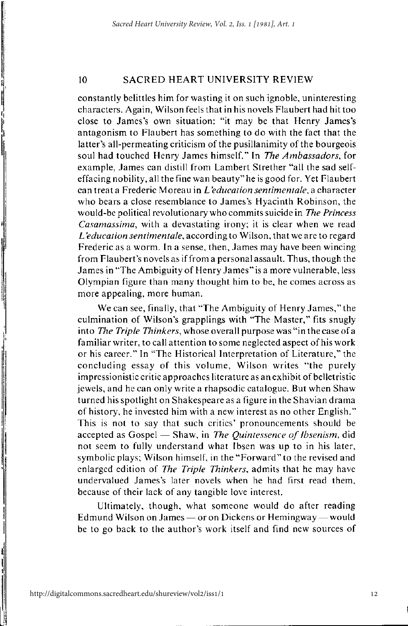#### 10 **SACRED HEART UNIVERSITY REVIEW**

constantly belittles him for wasting it on such ignoble, uninteresting characters. Again, Wilson feels that in his novels Flaubert had hit too close to James's own situation: "it may be that Henry James's antagonism to Flaubert has something to do with the fact that the latter's all-permeating criticism of the pusillanimity of the bourgeois soul had touched Henry James himself." In The Ambassadors, for example. James can distill from Lambert Strether "all the sad selfeffacing nobility, all the fine wan beauty" he is good for. Yet Flaubert can treat a Frederic Moreau in L'education sentimentale, a character who bears a close resemblance to James's Hyacinth Robinson, the would-be political revolutionary who commits suicide in The Princess Casamassima, with a devastating irony; it is clear when we read L'education sentimentale, according to Wilson, that we are to regard Frederic as a worm. In a sense, then, James may have been wincing from Flaubert's novels as if from a personal assault. Thus, though the James in "The Ambiguity of Henry James" is a more vulnerable, less Olympian figure than many thought him to be, he comes across as more appealing, more human.

We can see, finally, that "The Ambiguity of Henry James," the culmination of Wilson's grapplings with "The Master," fits snugly into The Triple Thinkers, whose overall purpose was "in the case of a familiar writer, to call attention to some neglected aspect of his work or his career." In "The Historical Interpretation of Literature," the concluding essay of this volume, Wilson writes "the purely impressionistic critic approaches literature as an exhibit of belletristic jewels, and he can only write a rhapsodic catalogue. But when Shaw turned his spotlight on Shakespeare as a figure in the Shavian drama of history, he invested him with a new interest as no other English." This is not to say that such critics' pronouncements should be accepted as Gospel - Shaw, in The Quintessence of Ibsenism, did not seem to fully understand what Ibsen was up to in his later, symbolic plays; Wilson himself, in the "Forward" to the revised and enlarged edition of The Triple Thinkers, admits that he may have undervalued James's later novels when he had first read them, because of their lack of any tangible love interest.

Ultimately, though, what someone would do after reading Edmund Wilson on James — or on Dickens or Hemingway — would be to go back to the author's work itself and find new sources of